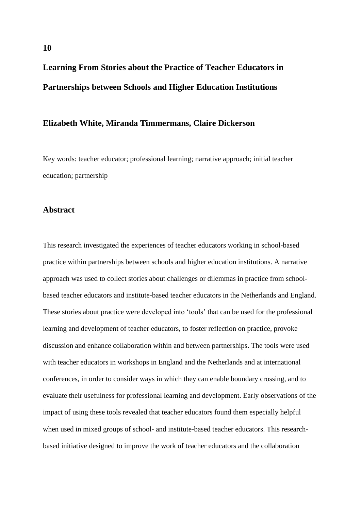# **Learning From Stories about the Practice of Teacher Educators in Partnerships between Schools and Higher Education Institutions**

#### **Elizabeth White, Miranda Timmermans, Claire Dickerson**

Key words: teacher educator; professional learning; narrative approach; initial teacher education; partnership

#### **Abstract**

This research investigated the experiences of teacher educators working in school-based practice within partnerships between schools and higher education institutions. A narrative approach was used to collect stories about challenges or dilemmas in practice from schoolbased teacher educators and institute-based teacher educators in the Netherlands and England. These stories about practice were developed into 'tools' that can be used for the professional learning and development of teacher educators, to foster reflection on practice, provoke discussion and enhance collaboration within and between partnerships. The tools were used with teacher educators in workshops in England and the Netherlands and at international conferences, in order to consider ways in which they can enable boundary crossing, and to evaluate their usefulness for professional learning and development. Early observations of the impact of using these tools revealed that teacher educators found them especially helpful when used in mixed groups of school- and institute-based teacher educators. This researchbased initiative designed to improve the work of teacher educators and the collaboration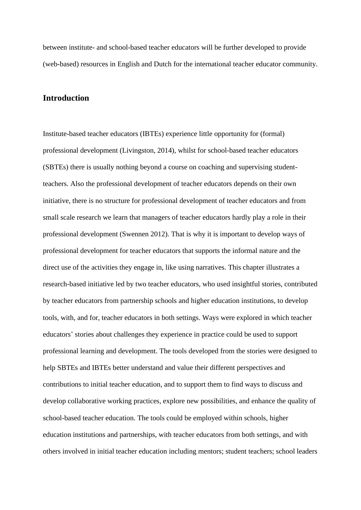between institute- and school-based teacher educators will be further developed to provide (web-based) resources in English and Dutch for the international teacher educator community.

# **Introduction**

Institute-based teacher educators (IBTEs) experience little opportunity for (formal) professional development (Livingston, 2014), whilst for school-based teacher educators (SBTEs) there is usually nothing beyond a course on coaching and supervising studentteachers. Also the professional development of teacher educators depends on their own initiative, there is no structure for professional development of teacher educators and from small scale research we learn that managers of teacher educators hardly play a role in their professional development (Swennen 2012). That is why it is important to develop ways of professional development for teacher educators that supports the informal nature and the direct use of the activities they engage in, like using narratives. This chapter illustrates a research-based initiative led by two teacher educators, who used insightful stories, contributed by teacher educators from partnership schools and higher education institutions, to develop tools, with, and for, teacher educators in both settings. Ways were explored in which teacher educators' stories about challenges they experience in practice could be used to support professional learning and development. The tools developed from the stories were designed to help SBTEs and IBTEs better understand and value their different perspectives and contributions to initial teacher education, and to support them to find ways to discuss and develop collaborative working practices, explore new possibilities, and enhance the quality of school-based teacher education. The tools could be employed within schools, higher education institutions and partnerships, with teacher educators from both settings, and with others involved in initial teacher education including mentors; student teachers; school leaders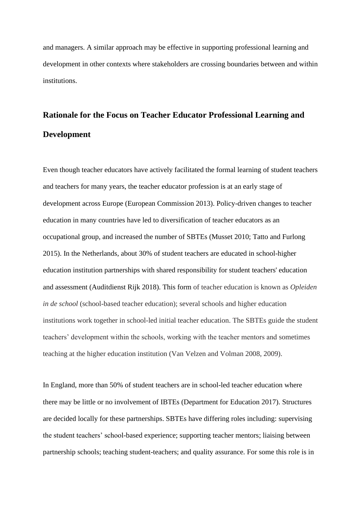and managers. A similar approach may be effective in supporting professional learning and development in other contexts where stakeholders are crossing boundaries between and within institutions.

# **Rationale for the Focus on Teacher Educator Professional Learning and Development**

Even though teacher educators have actively facilitated the formal learning of student teachers and teachers for many years, the teacher educator profession is at an early stage of development across Europe (European Commission 2013). Policy-driven changes to teacher education in many countries have led to diversification of teacher educators as an occupational group, and increased the number of SBTEs (Musset 2010; Tatto and Furlong 2015). In the Netherlands, about 30% of student teachers are educated in school-higher education institution partnerships with shared responsibility for student teachers' education and assessment (Auditdienst Rijk 2018). This form of teacher education is known as *Opleiden in de school* (school-based teacher education); several schools and higher education institutions work together in school-led initial teacher education. The SBTEs guide the student teachers' development within the schools, working with the teacher mentors and sometimes teaching at the higher education institution (Van Velzen and Volman 2008, 2009).

In England, more than 50% of student teachers are in school-led teacher education where there may be little or no involvement of IBTEs (Department for Education 2017). Structures are decided locally for these partnerships. SBTEs have differing roles including: supervising the student teachers' school-based experience; supporting teacher mentors; liaising between partnership schools; teaching student-teachers; and quality assurance. For some this role is in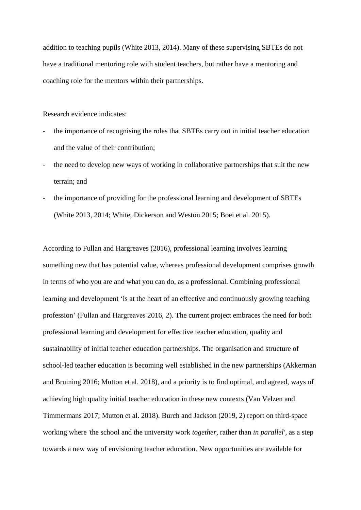addition to teaching pupils (White 2013, 2014). Many of these supervising SBTEs do not have a traditional mentoring role with student teachers, but rather have a mentoring and coaching role for the mentors within their partnerships.

Research evidence indicates:

- the importance of recognising the roles that SBTEs carry out in initial teacher education and the value of their contribution;
- the need to develop new ways of working in collaborative partnerships that suit the new terrain; and
- the importance of providing for the professional learning and development of SBTEs (White 2013, 2014; White, Dickerson and Weston 2015; Boei et al. 2015).

According to Fullan and Hargreaves (2016), professional learning involves learning something new that has potential value, whereas professional development comprises growth in terms of who you are and what you can do, as a professional. Combining professional learning and development 'is at the heart of an effective and continuously growing teaching profession' (Fullan and Hargreaves 2016, 2). The current project embraces the need for both professional learning and development for effective teacher education, quality and sustainability of initial teacher education partnerships. The organisation and structure of school-led teacher education is becoming well established in the new partnerships (Akkerman and Bruining 2016; Mutton et al. 2018), and a priority is to find optimal, and agreed, ways of achieving high quality initial teacher education in these new contexts (Van Velzen and Timmermans 2017; Mutton et al. 2018). Burch and Jackson (2019, 2) report on third-space working where 'the school and the university work *together*, rather than *in parallel',* as a step towards a new way of envisioning teacher education. New opportunities are available for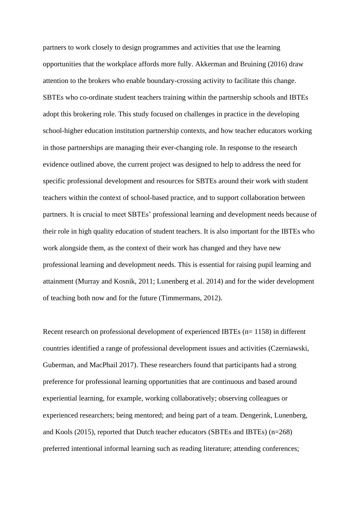partners to work closely to design programmes and activities that use the learning opportunities that the workplace affords more fully. Akkerman and Bruining (2016) draw attention to the brokers who enable boundary-crossing activity to facilitate this change. SBTEs who co-ordinate student teachers training within the partnership schools and IBTEs adopt this brokering role. This study focused on challenges in practice in the developing school-higher education institution partnership contexts, and how teacher educators working in those partnerships are managing their ever-changing role. In response to the research evidence outlined above, the current project was designed to help to address the need for specific professional development and resources for SBTEs around their work with student teachers within the context of school-based practice, and to support collaboration between partners. It is crucial to meet SBTEs' professional learning and development needs because of their role in high quality education of student teachers. It is also important for the IBTEs who work alongside them, as the context of their work has changed and they have new professional learning and development needs. This is essential for raising pupil learning and attainment (Murray and Kosnik, 2011; Lunenberg et al. 2014) and for the wider development of teaching both now and for the future (Timmermans, 2012).

Recent research on professional development of experienced IBTEs (n= 1158) in different countries identified a range of professional development issues and activities (Czerniawski, Guberman, and MacPhail 2017). These researchers found that participants had a strong preference for professional learning opportunities that are continuous and based around experiential learning, for example, working collaboratively; observing colleagues or experienced researchers; being mentored; and being part of a team. Dengerink, Lunenberg, and Kools (2015), reported that Dutch teacher educators (SBTEs and IBTEs) (n=268) preferred intentional informal learning such as reading literature; attending conferences;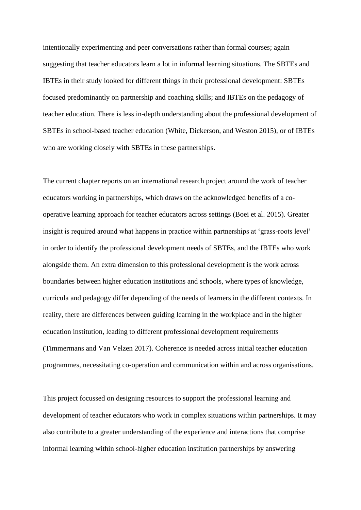intentionally experimenting and peer conversations rather than formal courses; again suggesting that teacher educators learn a lot in informal learning situations. The SBTEs and IBTEs in their study looked for different things in their professional development: SBTEs focused predominantly on partnership and coaching skills; and IBTEs on the pedagogy of teacher education. There is less in-depth understanding about the professional development of SBTEs in school-based teacher education (White, Dickerson, and Weston 2015), or of IBTEs who are working closely with SBTEs in these partnerships.

The current chapter reports on an international research project around the work of teacher educators working in partnerships, which draws on the acknowledged benefits of a cooperative learning approach for teacher educators across settings (Boei et al. 2015). Greater insight is required around what happens in practice within partnerships at 'grass-roots level' in order to identify the professional development needs of SBTEs, and the IBTEs who work alongside them. An extra dimension to this professional development is the work across boundaries between higher education institutions and schools, where types of knowledge, curricula and pedagogy differ depending of the needs of learners in the different contexts. In reality, there are differences between guiding learning in the workplace and in the higher education institution, leading to different professional development requirements (Timmermans and Van Velzen 2017). Coherence is needed across initial teacher education programmes, necessitating co-operation and communication within and across organisations.

This project focussed on designing resources to support the professional learning and development of teacher educators who work in complex situations within partnerships. It may also contribute to a greater understanding of the experience and interactions that comprise informal learning within school-higher education institution partnerships by answering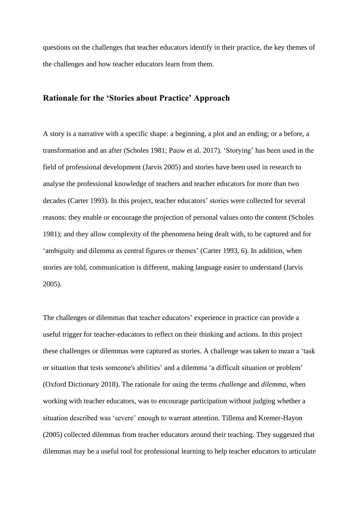questions on the challenges that teacher educators identify in their practice, the key themes of the challenges and how teacher educators learn from them.

# **Rationale for the 'Stories about Practice' Approach**

A story is a narrative with a specific shape: a beginning, a plot and an ending; or a before, a transformation and an after (Scholes 1981; Pauw et al. 2017). 'Storying' has been used in the field of professional development (Jarvis 2005) and stories have been used in research to analyse the professional knowledge of teachers and teacher educators for more than two decades (Carter 1993). In this project, teacher educators' stories were collected for several reasons: they enable or encourage the projection of personal values onto the content (Scholes 1981); and they allow complexity of the phenomena being dealt with, to be captured and for 'ambiguity and dilemma as central figures or themes' (Carter 1993, 6). In addition, when stories are told, communication is different, making language easier to understand (Jarvis 2005).

The challenges or dilemmas that teacher educators' experience in practice can provide a useful trigger for teacher-educators to reflect on their thinking and actions. In this project these challenges or dilemmas were captured as stories. A challenge was taken to mean a 'task or situation that tests someone's abilities' and a dilemma 'a difficult situation or problem' (Oxford Dictionary 2018). The rationale for using the terms *challenge* and *dilemma*, when working with teacher educators, was to encourage participation without judging whether a situation described was 'severe' enough to warrant attention. Tillema and Kremer-Hayon (2005) collected dilemmas from teacher educators around their teaching. They suggested that dilemmas may be a useful tool for professional learning to help teacher educators to articulate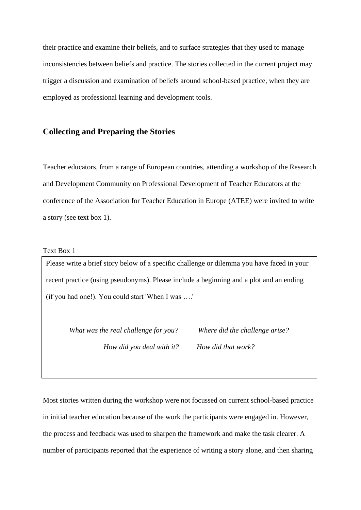their practice and examine their beliefs, and to surface strategies that they used to manage inconsistencies between beliefs and practice. The stories collected in the current project may trigger a discussion and examination of beliefs around school-based practice, when they are employed as professional learning and development tools.

### **Collecting and Preparing the Stories**

Teacher educators, from a range of European countries, attending a workshop of the Research and Development Community on Professional Development of Teacher Educators at the conference of the Association for Teacher Education in Europe (ATEE) were invited to write a story (see text box 1).

#### Text Box 1

Please write a brief story below of a specific challenge or dilemma you have faced in your recent practice (using pseudonyms). Please include a beginning and a plot and an ending (if you had one!). You could start 'When I was ….'

*What was the real challenge for you? Where did the challenge arise? How did you deal with it? How did that work?*

Most stories written during the workshop were not focussed on current school-based practice in initial teacher education because of the work the participants were engaged in. However, the process and feedback was used to sharpen the framework and make the task clearer. A number of participants reported that the experience of writing a story alone, and then sharing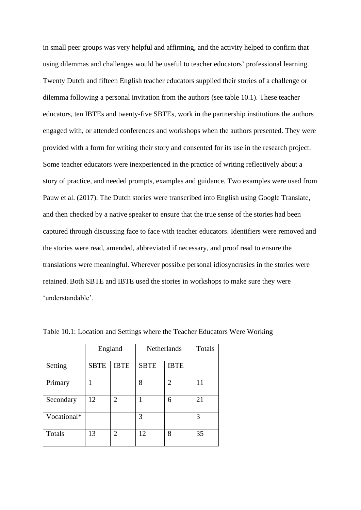in small peer groups was very helpful and affirming, and the activity helped to confirm that using dilemmas and challenges would be useful to teacher educators' professional learning. Twenty Dutch and fifteen English teacher educators supplied their stories of a challenge or dilemma following a personal invitation from the authors (see table 10.1). These teacher educators, ten IBTEs and twenty-five SBTEs, work in the partnership institutions the authors engaged with, or attended conferences and workshops when the authors presented. They were provided with a form for writing their story and consented for its use in the research project. Some teacher educators were inexperienced in the practice of writing reflectively about a story of practice, and needed prompts, examples and guidance. Two examples were used from Pauw et al. (2017). The Dutch stories were transcribed into English using Google Translate, and then checked by a native speaker to ensure that the true sense of the stories had been captured through discussing face to face with teacher educators. Identifiers were removed and the stories were read, amended, abbreviated if necessary, and proof read to ensure the translations were meaningful. Wherever possible personal idiosyncrasies in the stories were retained. Both SBTE and IBTE used the stories in workshops to make sure they were 'understandable'.

|             |             | England                     | Netherlands |             | Totals |
|-------------|-------------|-----------------------------|-------------|-------------|--------|
| Setting     | <b>SBTE</b> | <b>IBTE</b>                 | <b>SBTE</b> | <b>IBTE</b> |        |
| Primary     |             |                             | 8           | 2           | 11     |
| Secondary   | 12          | $\mathcal{D}_{\cdot}$       |             | 6           | 21     |
| Vocational* |             |                             | 3           |             | 3      |
| Totals      | 13          | $\mathcal{D}_{\mathcal{L}}$ | 12          | 8           | 35     |

Table 10.1: Location and Settings where the Teacher Educators Were Working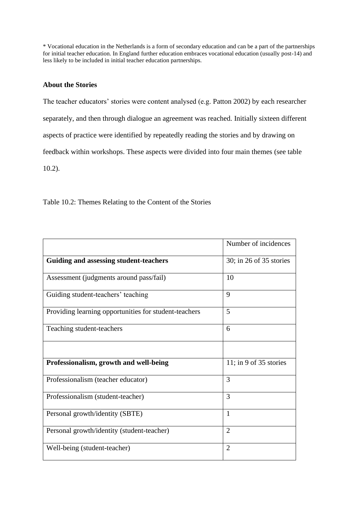\* Vocational education in the Netherlands is a form of secondary education and can be a part of the partnerships for initial teacher education. In England further education embraces vocational education (usually post-14) and less likely to be included in initial teacher education partnerships.

#### **About the Stories**

The teacher educators' stories were content analysed (e.g. Patton 2002) by each researcher separately, and then through dialogue an agreement was reached. Initially sixteen different aspects of practice were identified by repeatedly reading the stories and by drawing on feedback within workshops. These aspects were divided into four main themes (see table 10.2).

Table 10.2: Themes Relating to the Content of the Stories

|                                                       | Number of incidences    |
|-------------------------------------------------------|-------------------------|
| <b>Guiding and assessing student-teachers</b>         | 30; in 26 of 35 stories |
| Assessment (judgments around pass/fail)               | 10                      |
| Guiding student-teachers' teaching                    | 9                       |
| Providing learning opportunities for student-teachers | 5                       |
| Teaching student-teachers                             | 6                       |
|                                                       |                         |
| Professionalism, growth and well-being                | 11; in 9 of 35 stories  |
| Professionalism (teacher educator)                    | 3                       |
| Professionalism (student-teacher)                     | 3                       |
| Personal growth/identity (SBTE)                       | $\mathbf{1}$            |
| Personal growth/identity (student-teacher)            | $\overline{2}$          |
| Well-being (student-teacher)                          | $\overline{2}$          |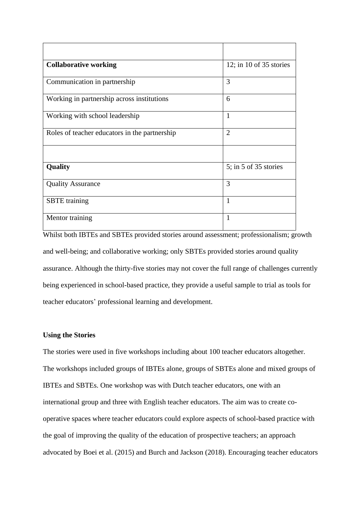| <b>Collaborative working</b>                  | 12; in 10 of 35 stories  |
|-----------------------------------------------|--------------------------|
| Communication in partnership                  | 3                        |
| Working in partnership across institutions    | 6                        |
| Working with school leadership                | 1                        |
| Roles of teacher educators in the partnership | $\overline{2}$           |
| <b>Quality</b>                                | $5$ ; in 5 of 35 stories |
| <b>Quality Assurance</b>                      | 3                        |
| <b>SBTE</b> training                          | 1                        |
| Mentor training                               |                          |

Whilst both IBTEs and SBTEs provided stories around assessment; professionalism; growth and well-being; and collaborative working; only SBTEs provided stories around quality assurance. Although the thirty-five stories may not cover the full range of challenges currently being experienced in school-based practice, they provide a useful sample to trial as tools for teacher educators' professional learning and development.

#### **Using the Stories**

The stories were used in five workshops including about 100 teacher educators altogether. The workshops included groups of IBTEs alone, groups of SBTEs alone and mixed groups of IBTEs and SBTEs. One workshop was with Dutch teacher educators, one with an international group and three with English teacher educators. The aim was to create cooperative spaces where teacher educators could explore aspects of school-based practice with the goal of improving the quality of the education of prospective teachers; an approach advocated by Boei et al. (2015) and Burch and Jackson (2018). Encouraging teacher educators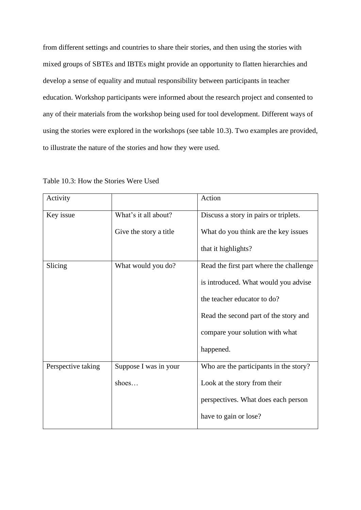from different settings and countries to share their stories, and then using the stories with mixed groups of SBTEs and IBTEs might provide an opportunity to flatten hierarchies and develop a sense of equality and mutual responsibility between participants in teacher education. Workshop participants were informed about the research project and consented to any of their materials from the workshop being used for tool development. Different ways of using the stories were explored in the workshops (see table 10.3). Two examples are provided, to illustrate the nature of the stories and how they were used.

| Activity           |                        | Action                                  |  |
|--------------------|------------------------|-----------------------------------------|--|
| Key issue          | What's it all about?   | Discuss a story in pairs or triplets.   |  |
|                    | Give the story a title | What do you think are the key issues    |  |
|                    |                        | that it highlights?                     |  |
| Slicing            | What would you do?     | Read the first part where the challenge |  |
|                    |                        | is introduced. What would you advise    |  |
|                    |                        | the teacher educator to do?             |  |
|                    |                        | Read the second part of the story and   |  |
|                    |                        | compare your solution with what         |  |
|                    |                        | happened.                               |  |
| Perspective taking | Suppose I was in your  | Who are the participants in the story?  |  |
|                    | shoes                  | Look at the story from their            |  |
|                    |                        | perspectives. What does each person     |  |
|                    |                        | have to gain or lose?                   |  |

Table 10.3: How the Stories Were Used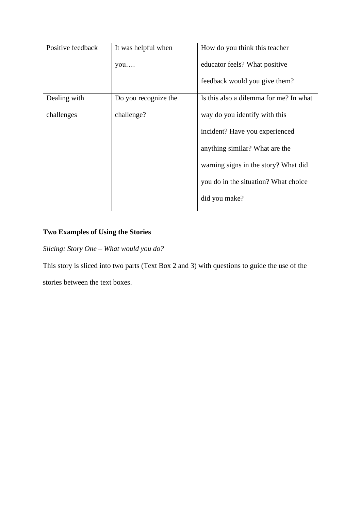| Positive feedback | It was helpful when  | How do you think this teacher          |  |
|-------------------|----------------------|----------------------------------------|--|
|                   | $\gamma$ ou          | educator feels? What positive          |  |
|                   |                      | feedback would you give them?          |  |
| Dealing with      | Do you recognize the | Is this also a dilemma for me? In what |  |
| challenges        | challenge?           | way do you identify with this          |  |
|                   |                      | incident? Have you experienced         |  |
|                   |                      | anything similar? What are the         |  |
|                   |                      | warning signs in the story? What did   |  |
|                   |                      | you do in the situation? What choice   |  |
|                   |                      | did you make?                          |  |

# **Two Examples of Using the Stories**

*Slicing: Story One – What would you do?*

This story is sliced into two parts (Text Box 2 and 3) with questions to guide the use of the

stories between the text boxes.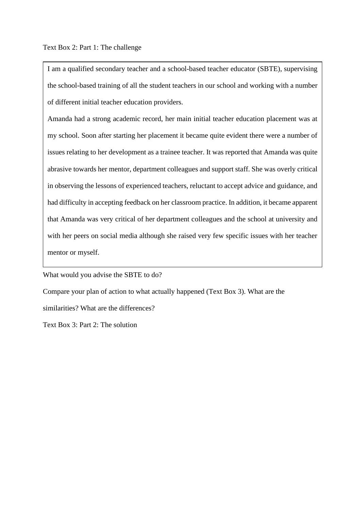I am a qualified secondary teacher and a school-based teacher educator (SBTE), supervising the school-based training of all the student teachers in our school and working with a number of different initial teacher education providers.

Amanda had a strong academic record, her main initial teacher education placement was at my school. Soon after starting her placement it became quite evident there were a number of issues relating to her development as a trainee teacher. It was reported that Amanda was quite abrasive towards her mentor, department colleagues and support staff. She was overly critical in observing the lessons of experienced teachers, reluctant to accept advice and guidance, and had difficulty in accepting feedback on her classroom practice. In addition, it became apparent that Amanda was very critical of her department colleagues and the school at university and with her peers on social media although she raised very few specific issues with her teacher mentor or myself.

What would you advise the SBTE to do?

Compare your plan of action to what actually happened (Text Box 3). What are the

similarities? What are the differences?

Text Box 3: Part 2: The solution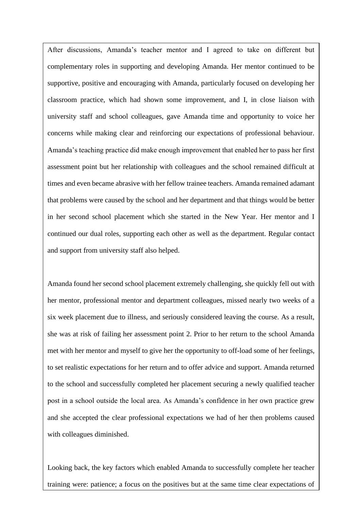After discussions, Amanda's teacher mentor and I agreed to take on different but complementary roles in supporting and developing Amanda. Her mentor continued to be supportive, positive and encouraging with Amanda, particularly focused on developing her classroom practice, which had shown some improvement, and I, in close liaison with university staff and school colleagues, gave Amanda time and opportunity to voice her concerns while making clear and reinforcing our expectations of professional behaviour. Amanda's teaching practice did make enough improvement that enabled her to pass her first assessment point but her relationship with colleagues and the school remained difficult at times and even became abrasive with her fellow trainee teachers. Amanda remained adamant that problems were caused by the school and her department and that things would be better in her second school placement which she started in the New Year. Her mentor and I continued our dual roles, supporting each other as well as the department. Regular contact and support from university staff also helped.

Amanda found her second school placement extremely challenging, she quickly fell out with her mentor, professional mentor and department colleagues, missed nearly two weeks of a six week placement due to illness, and seriously considered leaving the course. As a result, she was at risk of failing her assessment point 2. Prior to her return to the school Amanda met with her mentor and myself to give her the opportunity to off-load some of her feelings, to set realistic expectations for her return and to offer advice and support. Amanda returned to the school and successfully completed her placement securing a newly qualified teacher post in a school outside the local area. As Amanda's confidence in her own practice grew and she accepted the clear professional expectations we had of her then problems caused with colleagues diminished.

Looking back, the key factors which enabled Amanda to successfully complete her teacher training were: patience; a focus on the positives but at the same time clear expectations of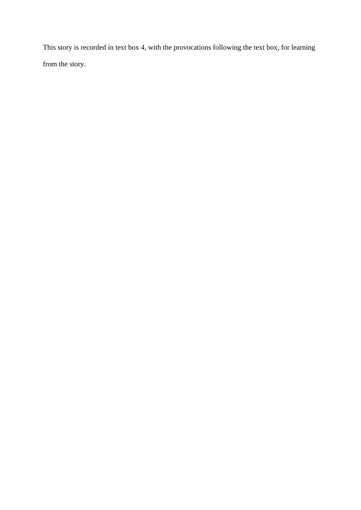This story is recorded in text box 4, with the provocations following the text box, for learning from the story.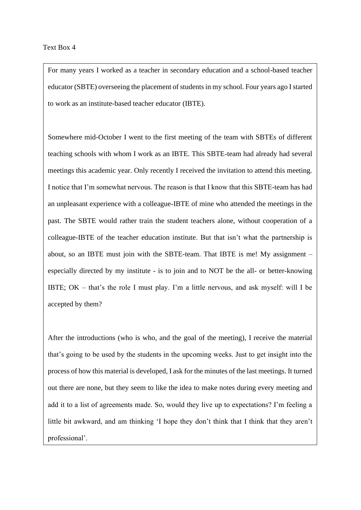For many years I worked as a teacher in secondary education and a school-based teacher educator (SBTE) overseeing the placement of students in my school. Four years ago I started to work as an institute-based teacher educator (IBTE).

Somewhere mid-October I went to the first meeting of the team with SBTEs of different teaching schools with whom I work as an IBTE. This SBTE-team had already had several meetings this academic year. Only recently I received the invitation to attend this meeting. I notice that I'm somewhat nervous. The reason is that I know that this SBTE-team has had an unpleasant experience with a colleague-IBTE of mine who attended the meetings in the past. The SBTE would rather train the student teachers alone, without cooperation of a colleague-IBTE of the teacher education institute. But that isn't what the partnership is about, so an IBTE must join with the SBTE-team. That IBTE is me! My assignment – especially directed by my institute - is to join and to NOT be the all- or better-knowing IBTE;  $OK - that's$  the role I must play. I'm a little nervous, and ask myself: will I be accepted by them?

After the introductions (who is who, and the goal of the meeting), I receive the material that's going to be used by the students in the upcoming weeks. Just to get insight into the process of how this material is developed, I ask for the minutes of the last meetings. It turned out there are none, but they seem to like the idea to make notes during every meeting and add it to a list of agreements made. So, would they live up to expectations? I'm feeling a little bit awkward, and am thinking 'I hope they don't think that I think that they aren't professional'.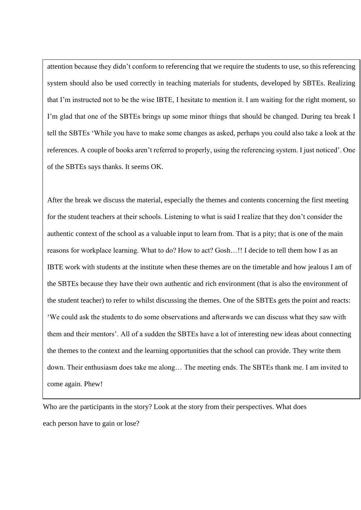attention because they didn't conform to referencing that we require the students to use, so this referencing system should also be used correctly in teaching materials for students, developed by SBTEs. Realizing that I'm instructed not to be the wise IBTE, I hesitate to mention it. I am waiting for the right moment, so I'm glad that one of the SBTEs brings up some minor things that should be changed. During tea break I tell the SBTEs 'While you have to make some changes as asked, perhaps you could also take a look at the references. A couple of books aren't referred to properly, using the referencing system. I just noticed'. One of the SBTEs says thanks. It seems OK.

After the break we discuss the material, especially the themes and contents concerning the first meeting for the student teachers at their schools. Listening to what is said I realize that they don't consider the authentic context of the school as a valuable input to learn from. That is a pity; that is one of the main reasons for workplace learning. What to do? How to act? Gosh…!! I decide to tell them how I as an IBTE work with students at the institute when these themes are on the timetable and how jealous I am of the SBTEs because they have their own authentic and rich environment (that is also the environment of the student teacher) to refer to whilst discussing the themes. One of the SBTEs gets the point and reacts: 'We could ask the students to do some observations and afterwards we can discuss what they saw with them and their mentors'. All of a sudden the SBTEs have a lot of interesting new ideas about connecting the themes to the context and the learning opportunities that the school can provide. They write them down. Their enthusiasm does take me along… The meeting ends. The SBTEs thank me. I am invited to come again. Phew!

Who are the participants in the story? Look at the story from their perspectives. What does each person have to gain or lose?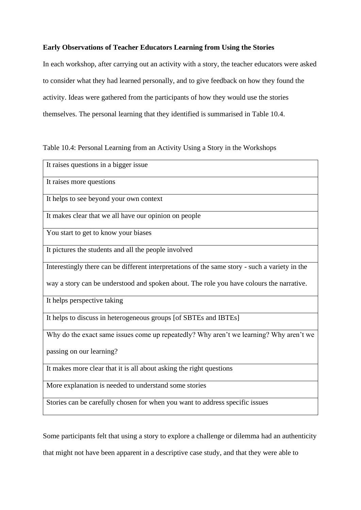#### **Early Observations of Teacher Educators Learning from Using the Stories**

In each workshop, after carrying out an activity with a story, the teacher educators were asked to consider what they had learned personally, and to give feedback on how they found the activity. Ideas were gathered from the participants of how they would use the stories themselves. The personal learning that they identified is summarised in Table 10.4.

Table 10.4: Personal Learning from an Activity Using a Story in the Workshops

| It raises questions in a bigger issue                                                          |
|------------------------------------------------------------------------------------------------|
| It raises more questions                                                                       |
| It helps to see beyond your own context                                                        |
| It makes clear that we all have our opinion on people                                          |
| You start to get to know your biases                                                           |
| It pictures the students and all the people involved                                           |
| Interestingly there can be different interpretations of the same story - such a variety in the |
| way a story can be understood and spoken about. The role you have colours the narrative.       |
| It helps perspective taking                                                                    |
| It helps to discuss in heterogeneous groups [of SBTEs and IBTEs]                               |
| Why do the exact same issues come up repeatedly? Why aren't we learning? Why aren't we         |
| passing on our learning?                                                                       |
| It makes more clear that it is all about asking the right questions                            |
| More explanation is needed to understand some stories                                          |
| Stories can be carefully chosen for when you want to address specific issues                   |

Some participants felt that using a story to explore a challenge or dilemma had an authenticity that might not have been apparent in a descriptive case study, and that they were able to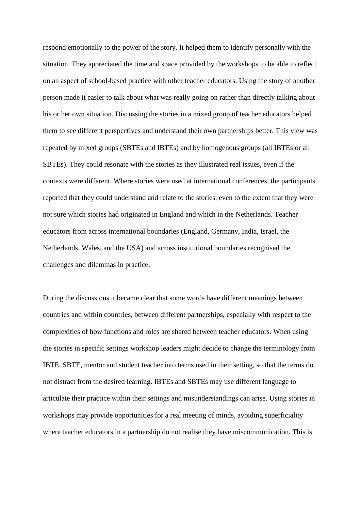respond emotionally to the power of the story. It helped them to identify personally with the situation. They appreciated the time and space provided by the workshops to be able to reflect on an aspect of school-based practice with other teacher educators. Using the story of another person made it easier to talk about what was really going on rather than directly talking about his or her own situation. Discussing the stories in a mixed group of teacher educators helped them to see different perspectives and understand their own partnerships better. This view was repeated by mixed groups (SBTEs and IBTEs) and by homogenous groups (all IBTEs or all SBTEs). They could resonate with the stories as they illustrated real issues, even if the contexts were different. Where stories were used at international conferences, the participants reported that they could understand and relate to the stories, even to the extent that they were not sure which stories had originated in England and which in the Netherlands. Teacher educators from across international boundaries (England, Germany, India, Israel, the Netherlands, Wales, and the USA) and across institutional boundaries recognised the challenges and dilemmas in practice.

During the discussions it became clear that some words have different meanings between countries and within countries, between different partnerships, especially with respect to the complexities of how functions and roles are shared between teacher educators. When using the stories in specific settings workshop leaders might decide to change the terminology from IBTE, SBTE, mentor and student teacher into terms used in their setting, so that the terms do not distract from the desired learning. IBTEs and SBTEs may use different language to articulate their practice within their settings and misunderstandings can arise. Using stories in workshops may provide opportunities for a real meeting of minds, avoiding superficiality where teacher educators in a partnership do not realise they have miscommunication. This is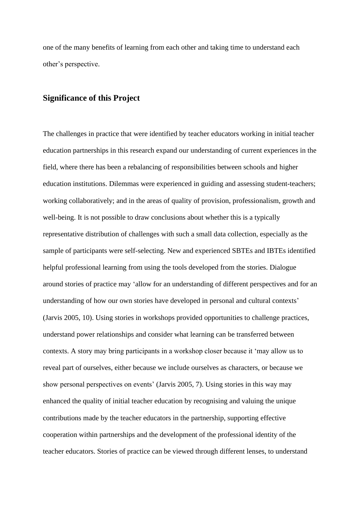one of the many benefits of learning from each other and taking time to understand each other's perspective.

### **Significance of this Project**

The challenges in practice that were identified by teacher educators working in initial teacher education partnerships in this research expand our understanding of current experiences in the field, where there has been a rebalancing of responsibilities between schools and higher education institutions. Dilemmas were experienced in guiding and assessing student-teachers; working collaboratively; and in the areas of quality of provision, professionalism, growth and well-being. It is not possible to draw conclusions about whether this is a typically representative distribution of challenges with such a small data collection, especially as the sample of participants were self-selecting. New and experienced SBTEs and IBTEs identified helpful professional learning from using the tools developed from the stories. Dialogue around stories of practice may 'allow for an understanding of different perspectives and for an understanding of how our own stories have developed in personal and cultural contexts' (Jarvis 2005, 10). Using stories in workshops provided opportunities to challenge practices, understand power relationships and consider what learning can be transferred between contexts. A story may bring participants in a workshop closer because it 'may allow us to reveal part of ourselves, either because we include ourselves as characters, or because we show personal perspectives on events' (Jarvis 2005, 7). Using stories in this way may enhanced the quality of initial teacher education by recognising and valuing the unique contributions made by the teacher educators in the partnership, supporting effective cooperation within partnerships and the development of the professional identity of the teacher educators. Stories of practice can be viewed through different lenses, to understand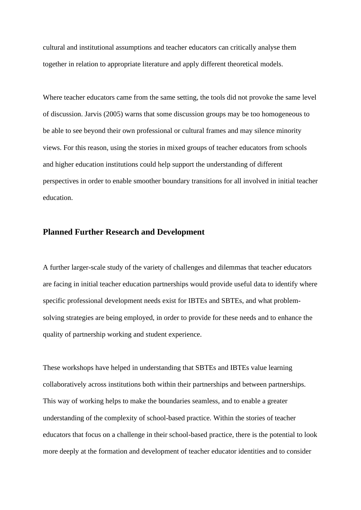cultural and institutional assumptions and teacher educators can critically analyse them together in relation to appropriate literature and apply different theoretical models.

Where teacher educators came from the same setting, the tools did not provoke the same level of discussion. Jarvis (2005) warns that some discussion groups may be too homogeneous to be able to see beyond their own professional or cultural frames and may silence minority views. For this reason, using the stories in mixed groups of teacher educators from schools and higher education institutions could help support the understanding of different perspectives in order to enable smoother boundary transitions for all involved in initial teacher education.

# **Planned Further Research and Development**

A further larger-scale study of the variety of challenges and dilemmas that teacher educators are facing in initial teacher education partnerships would provide useful data to identify where specific professional development needs exist for IBTEs and SBTEs, and what problemsolving strategies are being employed, in order to provide for these needs and to enhance the quality of partnership working and student experience.

These workshops have helped in understanding that SBTEs and IBTEs value learning collaboratively across institutions both within their partnerships and between partnerships. This way of working helps to make the boundaries seamless, and to enable a greater understanding of the complexity of school-based practice. Within the stories of teacher educators that focus on a challenge in their school-based practice, there is the potential to look more deeply at the formation and development of teacher educator identities and to consider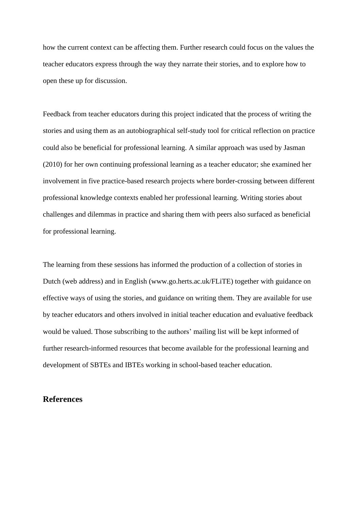how the current context can be affecting them. Further research could focus on the values the teacher educators express through the way they narrate their stories, and to explore how to open these up for discussion.

Feedback from teacher educators during this project indicated that the process of writing the stories and using them as an autobiographical self-study tool for critical reflection on practice could also be beneficial for professional learning. A similar approach was used by Jasman (2010) for her own continuing professional learning as a teacher educator; she examined her involvement in five practice-based research projects where border-crossing between different professional knowledge contexts enabled her professional learning. Writing stories about challenges and dilemmas in practice and sharing them with peers also surfaced as beneficial for professional learning.

The learning from these sessions has informed the production of a collection of stories in Dutch (web address) and in English (www.go.herts.ac.uk/FLiTE) together with guidance on effective ways of using the stories, and guidance on writing them. They are available for use by teacher educators and others involved in initial teacher education and evaluative feedback would be valued. Those subscribing to the authors' mailing list will be kept informed of further research-informed resources that become available for the professional learning and development of SBTEs and IBTEs working in school-based teacher education.

#### **References**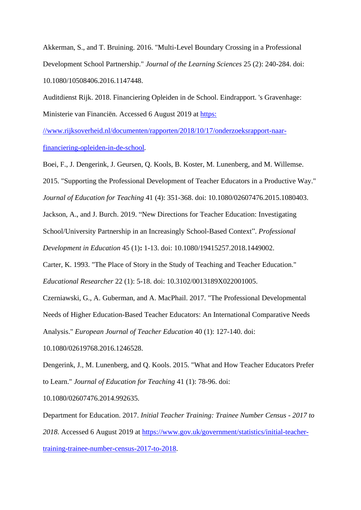Akkerman, S., and T. Bruining. 2016. "Multi-Level Boundary Crossing in a Professional Development School Partnership." *Journal of the Learning Sciences* 25 (2): 240-284. doi: 10.1080/10508406.2016.1147448.

Auditdienst Rijk. 2018. Financiering Opleiden in de School. Eindrapport. 's Gravenhage: Ministerie van Financiën. Accessed 6 August 2019 at [https:](https://www.rijksoverheid.nl/documenten/rapporten/2018/10/17/onderzoeksrapport-naar-financiering-opleiden-in-de-school) 

[//www.rijksoverheid.nl/documenten/rapporten/2018/10/17/onderzoeksrapport-naar](https://www.rijksoverheid.nl/documenten/rapporten/2018/10/17/onderzoeksrapport-naar-financiering-opleiden-in-de-school)[financiering-opleiden-in-de-school](https://www.rijksoverheid.nl/documenten/rapporten/2018/10/17/onderzoeksrapport-naar-financiering-opleiden-in-de-school)*.*

Boei, F., J. Dengerink, J. Geursen, Q. Kools, B. Koster, M. Lunenberg, and M. Willemse.

2015. "Supporting the Professional Development of Teacher Educators in a Productive Way."

*Journal of Education for Teaching* 41 (4): 351-368. doi: 10.1080/02607476.2015.1080403.

Jackson, A., and J. Burch. 2019. "New Directions for Teacher Education: Investigating

School/University Partnership in an Increasingly School-Based Context". *Professional* 

*Development in Education* 45 (1)**:** 1-13. doi: 10.1080/19415257.2018.1449002.

Carter, K. 1993. "The Place of Story in the Study of Teaching and Teacher Education."

*Educational Researcher* 22 (1): 5-18. doi: 10.3102/0013189X022001005.

Czerniawski, G., A. Guberman, and A. MacPhail. 2017. "The Professional Developmental Needs of Higher Education-Based Teacher Educators: An International Comparative Needs Analysis." *European Journal of Teacher Education* 40 (1): 127-140. doi:

10.1080/02619768.2016.1246528.

Dengerink, J., M. Lunenberg, and Q. Kools. 2015. "What and How Teacher Educators Prefer to Learn." *Journal of Education for Teaching* 41 (1): 78-96. doi:

10.1080/02607476.2014.992635.

Department for Education. 2017. *Initial Teacher Training: Trainee Number Census - 2017 to 2018*. Accessed 6 August 2019 at [https://www.gov.uk/government/statistics/initial-teacher](https://www.gov.uk/government/statistics/initial-teacher-training-trainee-number-census-2017-to-2018)[training-trainee-number-census-2017-to-2018.](https://www.gov.uk/government/statistics/initial-teacher-training-trainee-number-census-2017-to-2018)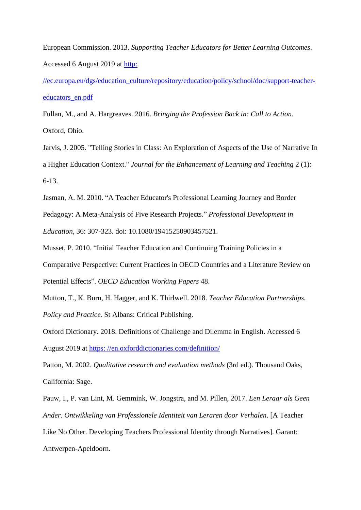European Commission. 2013. *Supporting Teacher Educators for Better Learning Outcomes*. Accessed 6 August 2019 at [http:](http://ec.europa.eu/dgs/education_culture/repository/education/policy/school/doc/support-teacher-educators_en.pdf) 

[//ec.europa.eu/dgs/education\\_culture/repository/education/policy/school/doc/support-teacher](http://ec.europa.eu/dgs/education_culture/repository/education/policy/school/doc/support-teacher-educators_en.pdf)[educators\\_en.pdf](http://ec.europa.eu/dgs/education_culture/repository/education/policy/school/doc/support-teacher-educators_en.pdf)

Fullan, M., and A. Hargreaves. 2016. *Bringing the Profession Back in: Call to Action*. Oxford, Ohio.

Jarvis, J. 2005. "Telling Stories in Class: An Exploration of Aspects of the Use of Narrative In a Higher Education Context." *Journal for the Enhancement of Learning and Teaching* 2 (1): 6-13.

Jasman, A. M. 2010. "A Teacher Educator's Professional Learning Journey and Border Pedagogy: A Meta-Analysis of Five Research Projects." *Professional Development in Education*, 36: 307-323. doi: 10.1080/19415250903457521.

Musset, P. 2010. "Initial Teacher Education and Continuing Training Policies in a Comparative Perspective: Current Practices in OECD Countries and a Literature Review on Potential Effects". *OECD Education Working Papers* 48.

Mutton, T., K. Burn, H. Hagger, and K. Thirlwell. 2018. *Teacher Education Partnerships. Policy and Practice.* St Albans: Critical Publishing.

Oxford Dictionary. 2018. Definitions of Challenge and Dilemma in English. Accessed 6 August 2019 at [https: //en.oxforddictionaries.com/definition/](https://en.oxforddictionaries.com/definition/)

Patton, M. 2002. *Qualitative research and evaluation methods* (3rd ed.). Thousand Oaks, California: Sage.

Pauw, I., P. van Lint, M. Gemmink, W. Jongstra, and M. Pillen, 2017. *Een Leraar als Geen Ander. Ontwikkeling van Professionele Identiteit van Leraren door Verhalen*. [A Teacher Like No Other. Developing Teachers Professional Identity through Narratives]. Garant: Antwerpen-Apeldoorn.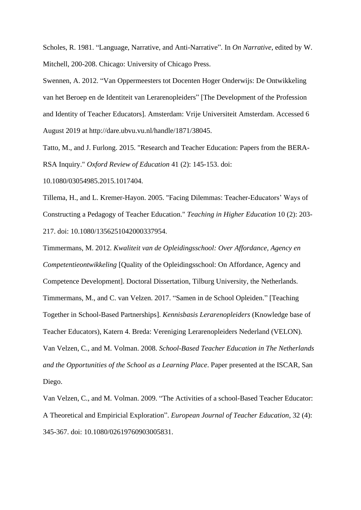Scholes, R. 1981. "Language, Narrative, and Anti-Narrative". In *On Narrative*, edited by W. Mitchell, 200-208. Chicago: University of Chicago Press.

Swennen, A. 2012. "Van Oppermeesters tot Docenten Hoger Onderwijs: De Ontwikkeling van het Beroep en de Identiteit van Lerarenopleiders" [The Development of the Profession and Identity of Teacher Educators]. Amsterdam: Vrije Universiteit Amsterdam. Accessed 6 August 2019 at http://dare.ubvu.vu.nl/handle/1871/38045.

Tatto, M., and J. Furlong. 2015. "Research and Teacher Education: Papers from the BERA-RSA Inquiry." *Oxford Review of Education* 41 (2): 145-153. doi:

10.1080/03054985.2015.1017404.

Tillema, H., and L. Kremer-Hayon. 2005. "Facing Dilemmas: Teacher-Educators' Ways of Constructing a Pedagogy of Teacher Education." *Teaching in Higher Education* 10 (2): 203- 217. doi: 10.1080/1356251042000337954.

Timmermans, M. 2012. *Kwaliteit van de Opleidingsschool: Over Affordance, Agency en Competentieontwikkeling* [Quality of the Opleidingsschool: On Affordance, Agency and Competence Development]. Doctoral Dissertation, Tilburg University, the Netherlands. Timmermans, M., and C. van Velzen. 2017. "Samen in de School Opleiden." [Teaching Together in School-Based Partnerships]. *Kennisbasis Lerarenopleiders* (Knowledge base of Teacher Educators), Katern 4. Breda: Vereniging Lerarenopleiders Nederland (VELON). Van Velzen, C., and M. Volman. 2008. *School-Based Teacher Education in The Netherlands and the Opportunities of the School as a Learning Place*. Paper presented at the ISCAR, San Diego.

Van Velzen, C., and M. Volman. 2009. "The Activities of a school-Based Teacher Educator: A Theoretical and Empiricial Exploration". *European Journal of Teacher Education*, 32 (4): 345-367. doi: 10.1080/02619760903005831.